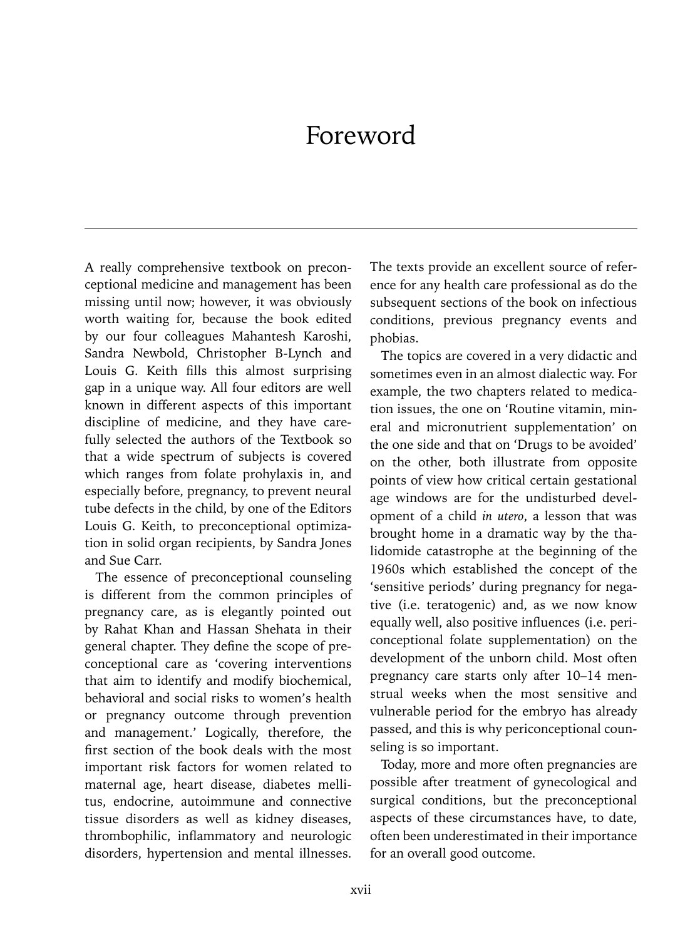## Foreword

A really comprehensive textbook on preconceptional medicine and management has been missing until now; however, it was obviously worth waiting for, because the book edited by our four colleagues Mahantesh Karoshi, Sandra Newbold, Christopher B-Lynch and Louis G. Keith fills this almost surprising gap in a unique way. All four editors are well known in different aspects of this important discipline of medicine, and they have carefully selected the authors of the Textbook so that a wide spectrum of subjects is covered which ranges from folate prohylaxis in, and especially before, pregnancy, to prevent neural tube defects in the child, by one of the Editors Louis G. Keith, to preconceptional optimization in solid organ recipients, by Sandra Jones and Sue Carr.

The essence of preconceptional counseling is different from the common principles of pregnancy care, as is elegantly pointed out by Rahat Khan and Hassan Shehata in their general chapter. They define the scope of preconceptional care as 'covering interventions that aim to identify and modify biochemical, behavioral and social risks to women's health or pregnancy outcome through prevention and management.' Logically, therefore, the first section of the book deals with the most important risk factors for women related to maternal age, heart disease, diabetes mellitus, endocrine, autoimmune and connective tissue disorders as well as kidney diseases, thrombophilic, inflammatory and neurologic disorders, hypertension and mental illnesses.

The texts provide an excellent source of reference for any health care professional as do the subsequent sections of the book on infectious conditions, previous pregnancy events and phobias.

The topics are covered in a very didactic and sometimes even in an almost dialectic way. For example, the two chapters related to medication issues, the one on 'Routine vitamin, mineral and micronutrient supplementation' on the one side and that on 'Drugs to be avoided' on the other, both illustrate from opposite points of view how critical certain gestational age windows are for the undisturbed development of a child *in utero*, a lesson that was brought home in a dramatic way by the thalidomide catastrophe at the beginning of the 1960s which established the concept of the 'sensitive periods' during pregnancy for negative (i.e. teratogenic) and, as we now know equally well, also positive influences (i.e. periconceptional folate supplementation) on the development of the unborn child. Most often pregnancy care starts only after 10–14 menstrual weeks when the most sensitive and vulnerable period for the embryo has already passed, and this is why periconceptional counseling is so important.

Today, more and more often pregnancies are possible after treatment of gynecological and surgical conditions, but the preconceptional aspects of these circumstances have, to date, often been underestimated in their importance for an overall good outcome.